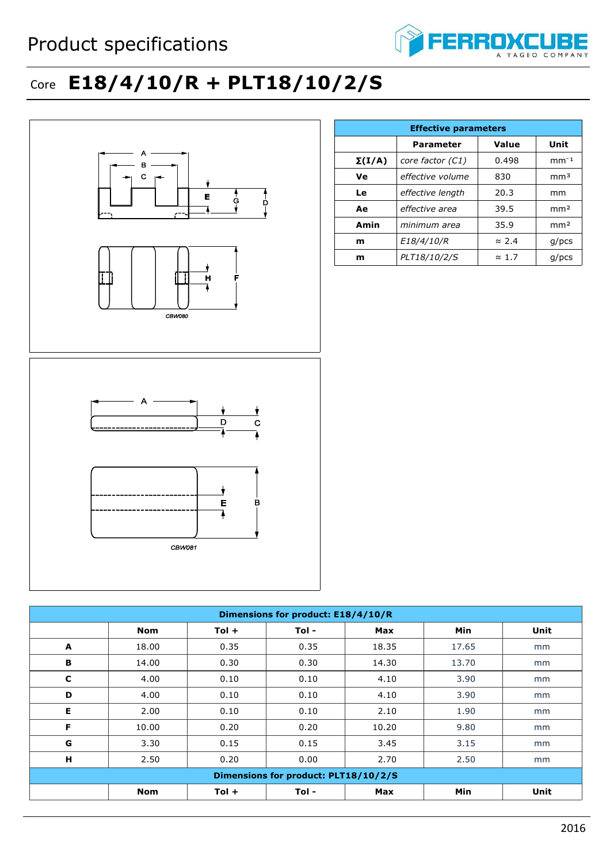

## Core **E18/4/10/R + PLT18/10/2/S**



|               | <b>Effective parameters</b> |               |                 |  |  |  |  |
|---------------|-----------------------------|---------------|-----------------|--|--|--|--|
|               | <b>Parameter</b>            | Value<br>Unit |                 |  |  |  |  |
| $\Sigma(I/A)$ | core factor (C1)            | 0.498         | $mm-1$          |  |  |  |  |
| Ve            | effective volume            | 830           | mm <sup>3</sup> |  |  |  |  |
| Le            | effective length            | 20.3          | mm              |  |  |  |  |
| Ae            | effective area              | 39.5          | mm <sup>2</sup> |  |  |  |  |
| Amin          | minimum area                | 35.9          | mm <sup>2</sup> |  |  |  |  |
| m             | E18/4/10/R                  | $\approx$ 2.4 | $g$ /pcs        |  |  |  |  |
| m             | PLT18/10/2/S                | $\approx 1.7$ | $g$ /pcs        |  |  |  |  |

| Dimensions for product: E18/4/10/R   |            |         |       |            |            |      |
|--------------------------------------|------------|---------|-------|------------|------------|------|
|                                      | <b>Nom</b> | $Tol +$ | Tol - | Max        | <b>Min</b> | Unit |
| A                                    | 18.00      | 0.35    | 0.35  | 18.35      | 17.65      | mm   |
| B                                    | 14.00      | 0.30    | 0.30  | 14.30      | 13.70      | mm   |
| C                                    | 4.00       | 0.10    | 0.10  | 4.10       | 3.90       | mm   |
| D                                    | 4.00       | 0.10    | 0.10  | 4.10       | 3.90       | mm   |
| Е                                    | 2.00       | 0.10    | 0.10  | 2.10       | 1.90       | mm   |
| F                                    | 10.00      | 0.20    | 0.20  | 10.20      | 9.80       | mm   |
| G                                    | 3.30       | 0.15    | 0.15  | 3.45       | 3.15       | mm   |
| H                                    | 2.50       | 0.20    | 0.00  | 2.70       | 2.50       | mm   |
| Dimensions for product: PLT18/10/2/S |            |         |       |            |            |      |
|                                      | <b>Nom</b> | $Tol +$ | Tol-  | <b>Max</b> | Min        | Unit |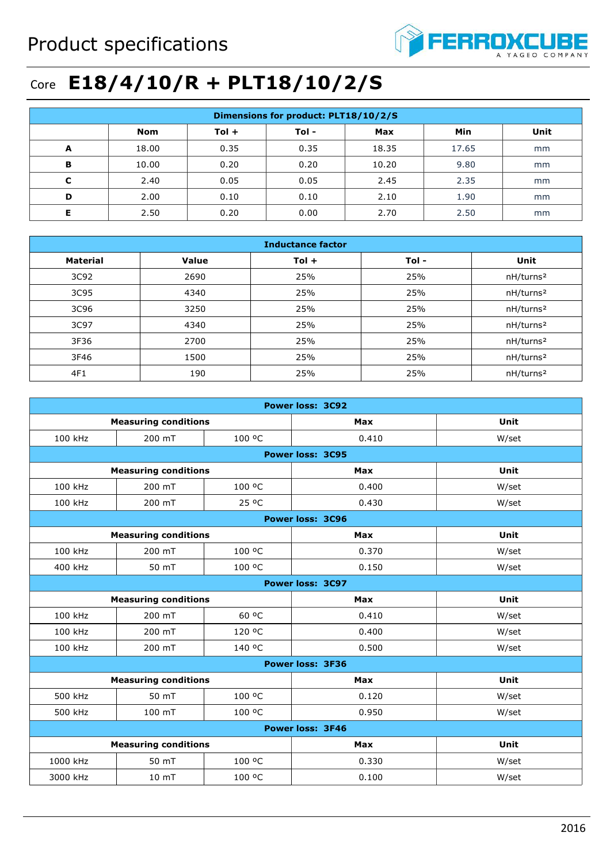

## Core **E18/4/10/R + PLT18/10/2/S**

| Dimensions for product: PLT18/10/2/S |       |         |       |       |       |      |
|--------------------------------------|-------|---------|-------|-------|-------|------|
|                                      | Nom   | $Tol +$ | Tol - | Max   | Min   | Unit |
| A                                    | 18.00 | 0.35    | 0.35  | 18.35 | 17.65 | mm   |
| B                                    | 10.00 | 0.20    | 0.20  | 10.20 | 9.80  | mm   |
| C                                    | 2.40  | 0.05    | 0.05  | 2.45  | 2.35  | mm   |
| D                                    | 2.00  | 0.10    | 0.10  | 2.10  | 1.90  | mm   |
|                                      | 2.50  | 0.20    | 0.00  | 2.70  | 2.50  | mm   |

| <b>Inductance factor</b> |       |         |      |                       |  |
|--------------------------|-------|---------|------|-----------------------|--|
| <b>Material</b>          | Value | $Tol +$ | Tol- | Unit                  |  |
| 3C92                     | 2690  | 25%     | 25%  | nH/turns <sup>2</sup> |  |
| 3C95                     | 4340  | 25%     | 25%  | nH/turns <sup>2</sup> |  |
| 3C96                     | 3250  | 25%     | 25%  | nH/turns <sup>2</sup> |  |
| 3C97                     | 4340  | 25%     | 25%  | nH/turns <sup>2</sup> |  |
| 3F36                     | 2700  | 25%     | 25%  | nH/turns <sup>2</sup> |  |
| 3F46                     | 1500  | 25%     | 25%  | nH/turns <sup>2</sup> |  |
| 4F1                      | 190   | 25%     | 25%  | nH/turns <sup>2</sup> |  |

| <b>Power loss: 3C92</b>     |                             |        |                         |       |  |
|-----------------------------|-----------------------------|--------|-------------------------|-------|--|
|                             | <b>Measuring conditions</b> |        | Max                     | Unit  |  |
| 100 kHz                     | 200 mT                      | 100 °C | 0.410                   | W/set |  |
|                             |                             |        | <b>Power loss: 3C95</b> |       |  |
|                             | <b>Measuring conditions</b> |        | <b>Max</b>              | Unit  |  |
| 100 kHz                     | 200 mT                      | 100 °C | 0.400                   | W/set |  |
| 100 kHz                     | 200 mT                      | 25 °C  | 0.430                   | W/set |  |
|                             |                             |        | <b>Power loss: 3C96</b> |       |  |
|                             | <b>Measuring conditions</b> |        | Max                     | Unit  |  |
| 100 kHz                     | 200 mT                      | 100 °C | 0.370                   | W/set |  |
| 400 kHz                     | 50 mT                       | 100 °C | 0.150                   | W/set |  |
|                             |                             |        | Power loss: 3C97        |       |  |
| <b>Measuring conditions</b> |                             | Max    | Unit                    |       |  |
| 100 kHz                     | 200 mT                      | 60 °C  | 0.410                   | W/set |  |
| 100 kHz                     | 200 mT                      | 120 °C | 0.400                   | W/set |  |
| 100 kHz                     | 200 mT                      | 140 °C | 0.500                   | W/set |  |
|                             | <b>Power loss: 3F36</b>     |        |                         |       |  |
|                             | <b>Measuring conditions</b> |        | Max                     | Unit  |  |
| 500 kHz                     | 50 mT                       | 100 °C | 0.120                   | W/set |  |
| 500 kHz                     | 100 mT                      | 100 °C | 0.950                   | W/set |  |
| <b>Power loss: 3F46</b>     |                             |        |                         |       |  |
|                             | <b>Measuring conditions</b> |        | <b>Max</b>              | Unit  |  |
| 1000 kHz                    | 50 mT                       | 100 °C | 0.330                   | W/set |  |
| 3000 kHz                    | 10 <sub>mT</sub>            | 100 °C | 0.100                   | W/set |  |